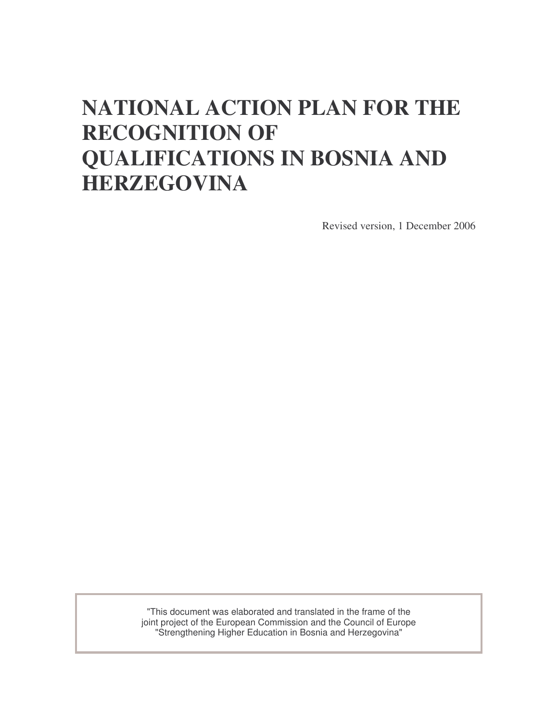# **NATIONAL ACTION PLAN FOR THE RECOGNITION OF QUALIFICATIONS IN BOSNIA AND HERZEGOVINA**

Revised version, 1 December 2006

"This document was elaborated and translated in the frame of the joint project of the European Commission and the Council of Europe "Strengthening Higher Education in Bosnia and Herzegovina"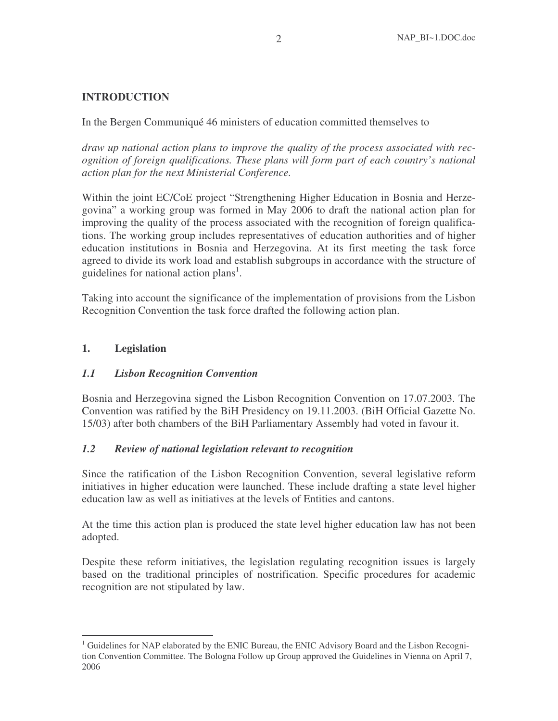# **INTRODUCTION**

In the Bergen Communiqué 46 ministers of education committed themselves to

*draw up national action plans to improve the quality of the process associated with recognition of foreign qualifications. These plans will form part of each country's national action plan for the next Ministerial Conference.*

Within the joint EC/CoE project "Strengthening Higher Education in Bosnia and Herzegovina" a working group was formed in May 2006 to draft the national action plan for improving the quality of the process associated with the recognition of foreign qualifications. The working group includes representatives of education authorities and of higher education institutions in Bosnia and Herzegovina. At its first meeting the task force agreed to divide its work load and establish subgroups in accordance with the structure of guidelines for national action plans<sup>1</sup>.

Taking into account the significance of the implementation of provisions from the Lisbon Recognition Convention the task force drafted the following action plan.

# **1. Legislation**

## *1.1 Lisbon Recognition Convention*

Bosnia and Herzegovina signed the Lisbon Recognition Convention on 17.07.2003. The Convention was ratified by the BiH Presidency on 19.11.2003. (BiH Official Gazette No. 15/03) after both chambers of the BiH Parliamentary Assembly had voted in favour it.

## *1.2 Review of national legislation relevant to recognition*

Since the ratification of the Lisbon Recognition Convention, several legislative reform initiatives in higher education were launched. These include drafting a state level higher education law as well as initiatives at the levels of Entities and cantons.

At the time this action plan is produced the state level higher education law has not been adopted.

Despite these reform initiatives, the legislation regulating recognition issues is largely based on the traditional principles of nostrification. Specific procedures for academic recognition are not stipulated by law.

 $1$  Guidelines for NAP elaborated by the ENIC Bureau, the ENIC Advisory Board and the Lisbon Recognition Convention Committee. The Bologna Follow up Group approved the Guidelines in Vienna on April 7, 2006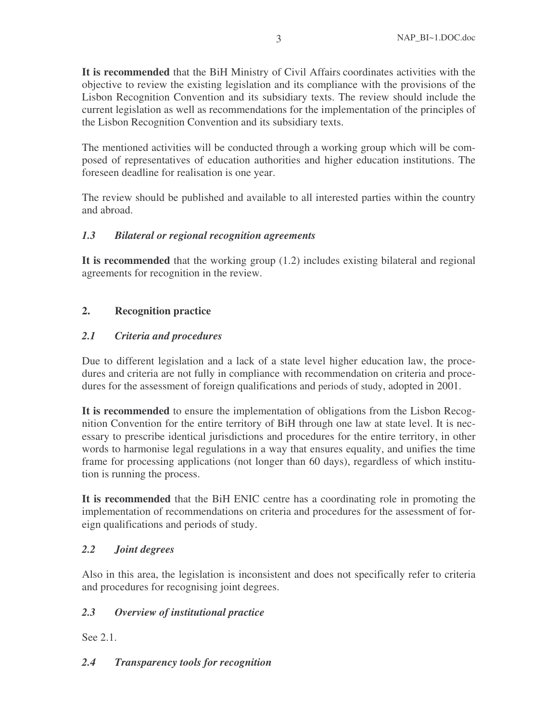**It is recommended** that the BiH Ministry of Civil Affairs coordinates activities with the objective to review the existing legislation and its compliance with the provisions of the Lisbon Recognition Convention and its subsidiary texts. The review should include the current legislation as well as recommendations for the implementation of the principles of the Lisbon Recognition Convention and its subsidiary texts.

The mentioned activities will be conducted through a working group which will be composed of representatives of education authorities and higher education institutions. The foreseen deadline for realisation is one year.

The review should be published and available to all interested parties within the country and abroad.

# *1.3 Bilateral or regional recognition agreements*

**It is recommended** that the working group (1.2) includes existing bilateral and regional agreements for recognition in the review.

# **2. Recognition practice**

# *2.1 Criteria and procedures*

Due to different legislation and a lack of a state level higher education law, the procedures and criteria are not fully in compliance with recommendation on criteria and procedures for the assessment of foreign qualifications and periods of study, adopted in 2001.

**It is recommended** to ensure the implementation of obligations from the Lisbon Recognition Convention for the entire territory of BiH through one law at state level. It is necessary to prescribe identical jurisdictions and procedures for the entire territory, in other words to harmonise legal regulations in a way that ensures equality, and unifies the time frame for processing applications (not longer than 60 days), regardless of which institution is running the process.

**It is recommended** that the BiH ENIC centre has a coordinating role in promoting the implementation of recommendations on criteria and procedures for the assessment of foreign qualifications and periods of study.

# *2.2 Joint degrees*

Also in this area, the legislation is inconsistent and does not specifically refer to criteria and procedures for recognising joint degrees.

# *2.3 Overview of institutional practice*

See 2.1.

## *2.4 Transparency tools for recognition*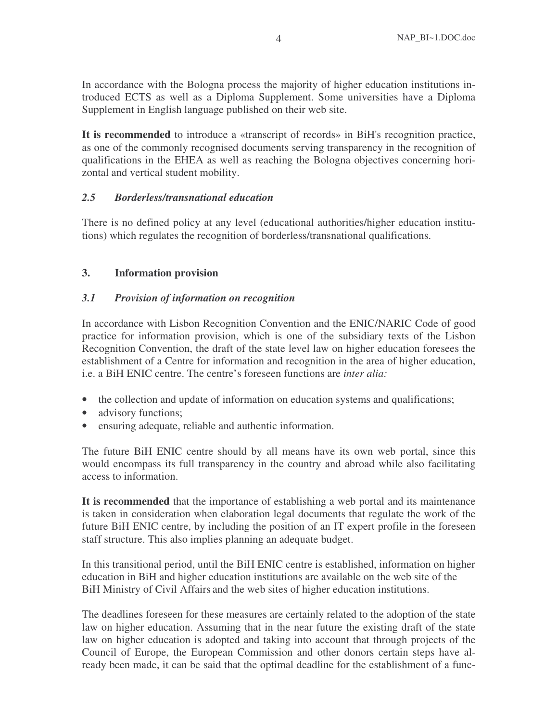In accordance with the Bologna process the majority of higher education institutions introduced ECTS as well as a Diploma Supplement. Some universities have a Diploma Supplement in English language published on their web site.

**It is recommended** to introduce a «transcript of records» in BiH's recognition practice, as one of the commonly recognised documents serving transparency in the recognition of qualifications in the EHEA as well as reaching the Bologna objectives concerning horizontal and vertical student mobility.

## *2.5 Borderless/transnational education*

There is no defined policy at any level (educational authorities/higher education institutions) which regulates the recognition of borderless/transnational qualifications.

# **3. Information provision**

## *3.1 Provision of information on recognition*

In accordance with Lisbon Recognition Convention and the ENIC/NARIC Code of good practice for information provision, which is one of the subsidiary texts of the Lisbon Recognition Convention, the draft of the state level law on higher education foresees the establishment of a Centre for information and recognition in the area of higher education, i.e. a BiH ENIC centre. The centre's foreseen functions are *inter alia:*

- the collection and update of information on education systems and qualifications;
- advisory functions;
- ensuring adequate, reliable and authentic information.

The future BiH ENIC centre should by all means have its own web portal, since this would encompass its full transparency in the country and abroad while also facilitating access to information.

**It is recommended** that the importance of establishing a web portal and its maintenance is taken in consideration when elaboration legal documents that regulate the work of the future BiH ENIC centre, by including the position of an IT expert profile in the foreseen staff structure. This also implies planning an adequate budget.

In this transitional period, until the BiH ENIC centre is established, information on higher education in BiH and higher education institutions are available on the web site of the BiH Ministry of Civil Affairs and the web sites of higher education institutions.

The deadlines foreseen for these measures are certainly related to the adoption of the state law on higher education. Assuming that in the near future the existing draft of the state law on higher education is adopted and taking into account that through projects of the Council of Europe, the European Commission and other donors certain steps have already been made, it can be said that the optimal deadline for the establishment of a func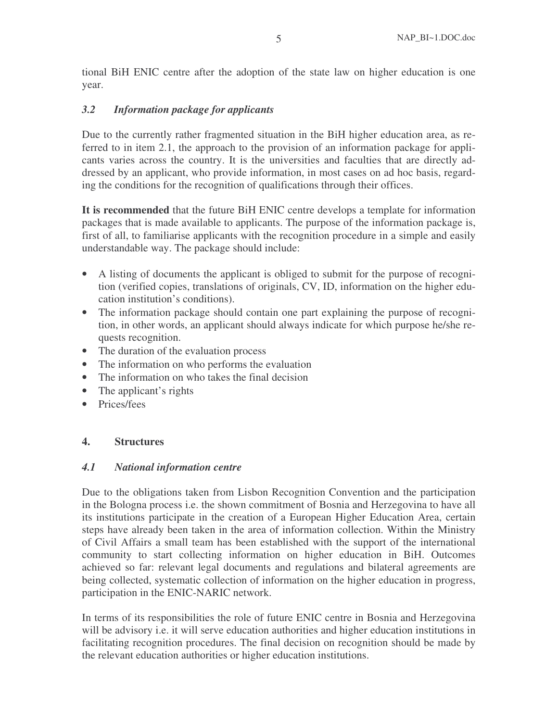tional BiH ENIC centre after the adoption of the state law on higher education is one year.

## *3.2 Information package for applicants*

Due to the currently rather fragmented situation in the BiH higher education area, as referred to in item 2.1, the approach to the provision of an information package for applicants varies across the country. It is the universities and faculties that are directly addressed by an applicant, who provide information, in most cases on ad hoc basis, regarding the conditions for the recognition of qualifications through their offices.

**It is recommended** that the future BiH ENIC centre develops a template for information packages that is made available to applicants. The purpose of the information package is, first of all, to familiarise applicants with the recognition procedure in a simple and easily understandable way. The package should include:

- A listing of documents the applicant is obliged to submit for the purpose of recognition (verified copies, translations of originals, CV, ID, information on the higher education institution's conditions).
- The information package should contain one part explaining the purpose of recognition, in other words, an applicant should always indicate for which purpose he/she requests recognition.
- The duration of the evaluation process
- The information on who performs the evaluation
- The information on who takes the final decision
- The applicant's rights
- Prices/fees

## **4. Structures**

## *4.1 National information centre*

Due to the obligations taken from Lisbon Recognition Convention and the participation in the Bologna process i.e. the shown commitment of Bosnia and Herzegovina to have all its institutions participate in the creation of a European Higher Education Area, certain steps have already been taken in the area of information collection. Within the Ministry of Civil Affairs a small team has been established with the support of the international community to start collecting information on higher education in BiH. Outcomes achieved so far: relevant legal documents and regulations and bilateral agreements are being collected, systematic collection of information on the higher education in progress, participation in the ENIC-NARIC network.

In terms of its responsibilities the role of future ENIC centre in Bosnia and Herzegovina will be advisory i.e. it will serve education authorities and higher education institutions in facilitating recognition procedures. The final decision on recognition should be made by the relevant education authorities or higher education institutions.